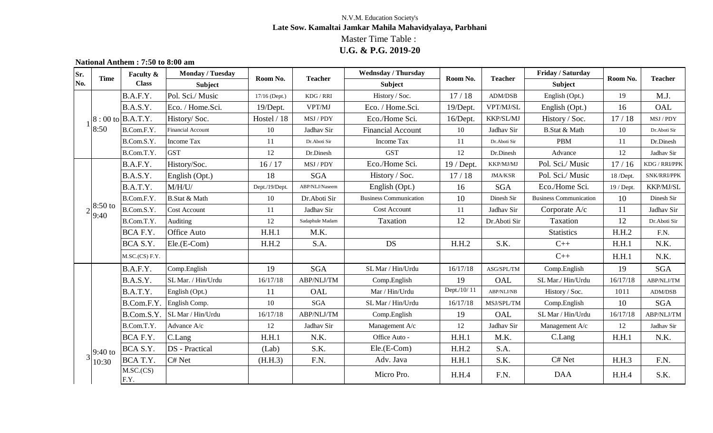## **National Anthem : 7:50 to 8:00 am**

| Sr.<br>No.    | <b>Time</b>        | Faculty $\&$                  | <b>Monday / Tuesday</b>  |                | <b>Teacher</b><br>Room No. | <b>Wednsday / Thursday</b>    | Room No.     | <b>Teacher</b>                                        | Friday / Saturday             | Room No.   |                |
|---------------|--------------------|-------------------------------|--------------------------|----------------|----------------------------|-------------------------------|--------------|-------------------------------------------------------|-------------------------------|------------|----------------|
|               |                    | <b>Class</b>                  | <b>Subject</b>           |                |                            | <b>Subject</b>                |              |                                                       | <b>Subject</b>                |            | <b>Teacher</b> |
|               |                    | B.A.F.Y.                      | Pol. Sci./ Music         | 17/16 (Dept.)  | KDG / RRI                  | History / Soc.                | 17/18        | ADM/DSB                                               | English (Opt.)                | 19         | M.J.           |
|               |                    | B.A.S.Y.                      | Eco. / Home.Sci.         | $19/D$ ept.    | VPT/MJ                     | Eco. / Home.Sci.              | 19/Dept.     | VPT/MJ/SL                                             | English (Opt.)                | 16         | OAL            |
|               |                    | $ 8:00 \text{ to }  B.A.T.Y.$ | History/Soc.             | Hostel / 18    | MSJ / PDY                  | Eco./Home Sci.                | $16/D$ ept.  | KKP/SL/MJ                                             | History / Soc.                | 17/18      | MSJ / PDY      |
|               | 8:50               | B.Com.F.Y.                    | <b>Financial Account</b> | 10             | Jadhav Sir                 | <b>Financial Account</b>      | 10           | Jadhav Sir                                            | <b>B.Stat &amp; Math</b>      | 10         | Dr. Aboti Sir  |
|               |                    | B.Com.S.Y.                    | <b>Income Tax</b>        | 11             | Dr. Aboti Sir              | <b>Income Tax</b>             | 11           | Dr. Aboti Sir                                         | <b>PBM</b>                    | 11         | Dr.Dinesh      |
|               |                    | B.Com.T.Y.                    | <b>GST</b>               | 12             | Dr.Dinesh                  | <b>GST</b>                    | 12           | Dr.Dinesh                                             | Advance                       | 12         | Jadhav Sir     |
|               |                    | B.A.F.Y.                      | History/Soc.             | 16/17          | MSJ / PDY                  | Eco./Home Sci.                | $19$ / Dept. | KKP/MJ/MJ                                             | Pol. Sci./ Music              | 17/16      | KDG / RRI/PPK  |
|               |                    | B.A.S.Y.                      | English (Opt.)           | 18             | <b>SGA</b>                 | History / Soc.                | 17/18        | <b>JMA/KSR</b>                                        | Pol. Sci./ Music              | 18 /Dept.  | SNK/RRI/PPK    |
|               |                    | B.A.T.Y.                      | M/H/U/                   | Dept./19/Dept. | ABP/NLJ/Naseem             | English (Opt.)                | 16           | <b>SGA</b>                                            | Eco./Home Sci.                | 19 / Dept. | KKP/MJ/SL      |
|               |                    | B.Com.F.Y.                    | <b>B.Stat &amp; Math</b> | 10             | Dr.Aboti Sir               | <b>Business Communication</b> | 10           | Dinesh Sir                                            | <b>Business Communication</b> | 10         | Dinesh Sir     |
|               | $8:50$ to<br> 9:40 | B.Com.S.Y.                    | <b>Cost Account</b>      | 11             | Jadhav Sir                 | <b>Cost Account</b>           | 11           | Jadhav Sir                                            | Corporate A/c                 | 11         | Jadhav Sir     |
|               |                    | B.Com.T.Y.                    | Auditing                 | 12             | Sadaphule Madam            | Taxation                      | 12           | Dr.Aboti Sir                                          | Taxation                      | 12         | Dr.Aboti Sir   |
|               |                    | BCA F.Y.                      | <b>Office Auto</b>       | H.H.1          | M.K.                       |                               |              |                                                       | <b>Statistics</b>             | H.H.2      | F.N.           |
|               |                    | BCA S.Y.                      | $Ele.E-Com$              | H.H.2          | S.A.                       | <b>DS</b>                     | H.H.2        | S.K.                                                  | $C++$                         | H.H.1      | N.K.           |
|               |                    | M.SC(CS) F.Y.                 |                          |                |                            |                               |              |                                                       | $C++$                         | H.H.1      | N.K.           |
|               |                    | B.A.F.Y.                      | Comp.English             | 19             | <b>SGA</b>                 | SL Mar / Hin/Urdu             | 16/17/18     | ASG/SPL/TM                                            | Comp.English                  | 19         | <b>SGA</b>     |
|               |                    | B.A.S.Y.                      | SL Mar. / Hin/Urdu       | 16/17/18       | ABP/NLJ/TM                 | Comp.English                  | 19           | OAL                                                   | SL Mar./Hin/Urdu              | 16/17/18   | ABP/NLJ/TM     |
|               |                    | B.A.T.Y.                      | English (Opt.)           | 11             | OAL                        | Mar / Hin/Urdu                | Dept./10/11  | ${\bf A}\bf{B}\bf{P}/\bf{N}\bf{L}\bf{J}/\bf{N}\bf{B}$ | History / Soc.                | 1011       | ADM/DSB        |
|               |                    | B.Com.F.Y.                    | English Comp.            | 10             | <b>SGA</b>                 | SL Mar / Hin/Urdu             | 16/17/18     | MSJ/SPL/TM                                            | Comp.English                  | 10         | <b>SGA</b>     |
|               |                    | B.Com.S.Y.                    | SL Mar / Hin/Urdu        | 16/17/18       | ABP/NLJ/TM                 | Comp.English                  | 19           | OAL                                                   | SL Mar / Hin/Urdu             | 16/17/18   | ABP/NLJ/TM     |
|               |                    | B.Com.T.Y.                    | Advance A/c              | 12             | Jadhav Sir                 | Management A/c                | 12           | Jadhav Sir                                            | Management A/c                | 12         | Jadhav Sir     |
|               |                    | BCA F.Y.                      | C.Lang                   | H.H.1          | N.K.                       | Office Auto -                 | H.H.1        | M.K.                                                  | C.Lang                        | H.H.1      | N.K.           |
| $3^{9:40}$ to |                    | BCA S.Y.                      | <b>DS</b> - Practical    | (Lab)          | S.K.                       | $Ele(E-Com)$                  | H.H.2        | S.A.                                                  |                               |            |                |
|               | 10:30              | BCA T.Y.                      | C# Net                   | (H.H.3)        | F.N.                       | Adv. Java                     | H.H.1        | S.K.                                                  | C# Net                        | H.H.3      | F.N.           |
|               |                    | M.SC(CS)<br>F.Y.              |                          |                |                            | Micro Pro.                    | H.H.4        | F.N.                                                  | DAA                           | H.H.4      | S.K.           |

## **U.G. & P.G. 2019-20** Master Time Table : **Late Sow. Kamaltai Jamkar Mahila Mahavidyalaya, Parbhani** N.V.M. Education Society's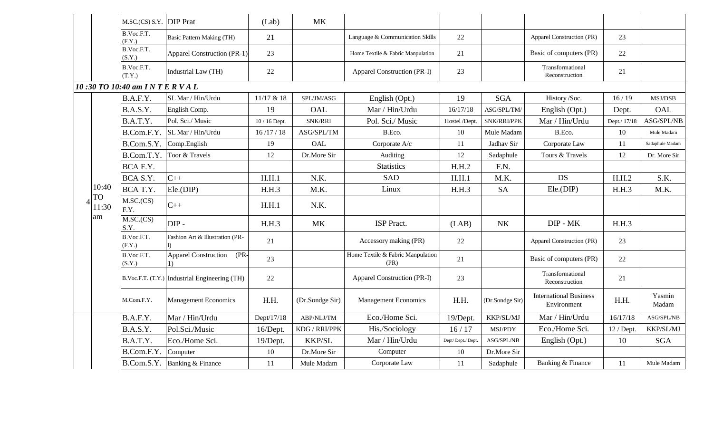|  |                                   | M.SC.(CS) S.Y. DIP Prat    |                                               | (Lab)         | <b>MK</b>       |                                           |                  |                 |                                              |              |                             |
|--|-----------------------------------|----------------------------|-----------------------------------------------|---------------|-----------------|-------------------------------------------|------------------|-----------------|----------------------------------------------|--------------|-----------------------------|
|  |                                   | B.Voc.F.T.<br>(F.Y.)       | <b>Basic Pattern Making (TH)</b>              | 21            |                 | Language & Communication Skills           | 22               |                 | Apparel Construction (PR)                    | 23           |                             |
|  |                                   | B.Voc.F.T.<br>(S.Y.)       | <b>Apparel Construction (PR-1)</b>            | 23            |                 | Home Textile & Fabric Manpulation         | 21               |                 | Basic of computers (PR)                      | 22           |                             |
|  |                                   | B.Voc.F.T.<br>(T.Y.)       | Industrial Law (TH)                           | 22            |                 | <b>Apparel Construction (PR-I)</b>        | 23               |                 | Transformational<br>Reconstruction           | 21           |                             |
|  |                                   | 10:30 TO 10:40 am INTERVAL |                                               |               |                 |                                           |                  |                 |                                              |              |                             |
|  |                                   | B.A.F.Y.                   | SL Mar / Hin/Urdu                             | 11/17 & 18    | SPL/JM/ASG      | English (Opt.)                            | 19               | <b>SGA</b>      | History/Soc.                                 | 16/19        | MSJ/DSB                     |
|  |                                   | B.A.S.Y.                   | English Comp.                                 | 19            | OAL             | Mar / Hin/Urdu                            | 16/17/18         | ASG/SPL/TM/     | English (Opt.)                               | Dept.        | OAL                         |
|  |                                   | B.A.T.Y.                   | Pol. Sci./ Music                              | 10 / 16 Dept. | <b>SNK/RRI</b>  | Pol. Sci./ Music                          | Hostel /Dept.    | SNK/RRI/PPK     | Mar / Hin/Urdu                               | Dept./ 17/18 | ASG/SPL/NB                  |
|  |                                   | B.Com.F.Y.                 | <b>SL Mar / Hin/Urdu</b>                      | 16/17/18      | ASG/SPL/TM      | B.Eco.                                    | 10               | Mule Madam      | B.Eco.                                       | 10           | Mule Madam                  |
|  |                                   | B.Com.S.Y.                 | Comp.English                                  | 19            | OAL             | Corporate A/c                             | 11               | Jadhav Sir      | Corporate Law                                | 11           | Sadaphule Madam             |
|  |                                   | B.Com.T.Y.                 | Toor & Travels                                | 12            | Dr.More Sir     | <b>Auditing</b>                           | 12               | Sadaphule       | Tours & Travels                              | 12           | Dr. More Sir                |
|  | 10:40<br><b>TO</b><br>11:30<br>am | BCA F.Y.                   |                                               |               |                 | <b>Statistics</b>                         | H.H.2            | F.N.            |                                              |              |                             |
|  |                                   | BCA S.Y.                   | $C++$                                         | H.H.1         | N.K.            | <b>SAD</b>                                | H.H.1            | M.K.            | <b>DS</b>                                    | H.H.2        | S.K.                        |
|  |                                   | BCA T.Y.                   | $Ele.$ (DIP)                                  | H.H.3         | M.K.            | Linux                                     | H.H.3            | <b>SA</b>       | $Ele.$ (DIP)                                 | H.H.3        | M.K.                        |
|  |                                   | M.SC(CS)<br>F.Y.           | $C++$                                         | H.H.1         | N.K.            |                                           |                  |                 |                                              |              |                             |
|  |                                   | M.SC(CS)<br>S.Y.           | $DIP -$                                       | H.H.3         | <b>MK</b>       | <b>ISP</b> Pract.                         | (LAB)            | <b>NK</b>       | DIP - MK                                     | H.H.3        |                             |
|  |                                   | B.Voc.F.T.<br>(F.Y.)       | Fashion Art & Illustration (PR-               | 21            |                 | Accessory making (PR)                     | 22               |                 | Apparel Construction (PR)                    | 23           |                             |
|  |                                   | B.Voc.F.T.<br>(S.Y.)       | <b>Apparel Construction</b><br>$(PR -$        | 23            |                 | Home Textile & Fabric Manpulation<br>(PR) | 21               |                 | Basic of computers (PR)                      | 22           |                             |
|  |                                   |                            | B.Voc.F.T. (T.Y.) Industrial Engineering (TH) | 22            |                 | Apparel Construction (PR-I)               | 23               |                 | Transformational<br>Reconstruction           | 21           |                             |
|  |                                   | M.Com.F.Y.                 | <b>Management Economics</b>                   | H.H.          | (Dr.Sondge Sir) | <b>Management Economics</b>               | H.H.             | (Dr.Sondge Sir) | <b>International Business</b><br>Environment | H.H.         | Yasmin<br>Madam             |
|  |                                   | B.A.F.Y.                   | Mar / Hin/Urdu                                | Dept/17/18    | ABP/NLJ/TM      | Eco./Home Sci.                            | $19/D$ ept.      | KKP/SL/MJ       | Mar / Hin/Urdu                               | 16/17/18     | $\operatorname{ASG/SPL/NB}$ |
|  |                                   | B.A.S.Y.                   | Pol.Sci./Music                                | 16/Dept.      | KDG / RRI/PPK   | His./Sociology                            | 16/17            | MSJ/PDY         | Eco./Home Sci.                               | $12$ / Dept. | <b>KKP/SL/MJ</b>            |
|  |                                   | B.A.T.Y.                   | Eco./Home Sci.                                | $19/D$ ept.   | <b>KKP/SL</b>   | Mar / Hin/Urdu                            | Dept/Dept./Dept. | ASG/SPL/NB      | English (Opt.)                               | 10           | SGA                         |
|  |                                   | B.Com.F.Y.                 | Computer                                      | 10            | Dr.More Sir     | Computer                                  | 10               | Dr.More Sir     |                                              |              |                             |
|  |                                   | B.Com.S.Y.                 | Banking & Finance                             | 11            | Mule Madam      | Corporate Law                             | 11               | Sadaphule       | Banking & Finance                            | 11           | Mule Madam                  |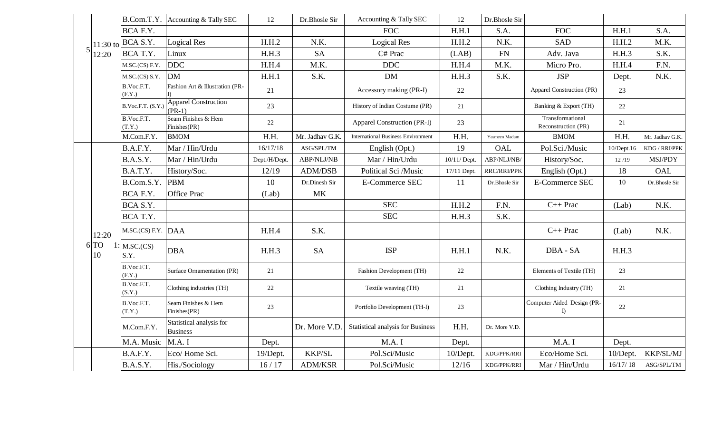|  |                     | B.Com.T.Y.           | Accounting & Tally SEC                      | 12            | Dr.Bhosle Sir     | Accounting & Tally SEC                    | 12           | Dr.Bhosle Sir |                                            |                  |                 |
|--|---------------------|----------------------|---------------------------------------------|---------------|-------------------|-------------------------------------------|--------------|---------------|--------------------------------------------|------------------|-----------------|
|  |                     | BCA F.Y.             |                                             |               |                   | <b>FOC</b>                                | H.H.1        | S.A.          | <b>FOC</b>                                 | H.H.1            | S.A.            |
|  |                     | $11:30$ to BCA S.Y.  | Logical Res                                 | H.H.2         | N.K.              | Logical Res                               | H.H.2        | N.K.          | SAD                                        | H.H.2            | M.K.            |
|  | 12:20               | BCA T.Y.             | Linux                                       | H.H.3         | <b>SA</b>         | C# Prac                                   | (LAB)        | <b>FN</b>     | Adv. Java                                  | H.H.3            | S.K.            |
|  |                     | M.SC(CS) F.Y.        | <b>DDC</b>                                  | H.H.4         | M.K.              | <b>DDC</b>                                | H.H.4        | M.K.          | Micro Pro.                                 | H.H.4            | F.N.            |
|  |                     | M.SC(CS) S.Y.        | <b>DM</b>                                   | H.H.1         | S.K.              | <b>DM</b>                                 | H.H.3        | S.K.          | <b>JSP</b>                                 | Dept.            | N.K.            |
|  |                     | B.Voc.F.T.<br>(F.Y.) | Fashion Art & Illustration (PR-             | 21            |                   | Accessory making (PR-I)                   | 22           |               | Apparel Construction (PR)                  | 23               |                 |
|  |                     | B.Voc.F.T. (S.Y.)    | <b>Apparel Construction</b><br>$(PR-1)$     | 23            |                   | History of Indian Costume (PR)            | 21           |               | Banking & Export (TH)                      | 22               |                 |
|  |                     | B.Voc.F.T.<br>(T.Y.) | Seam Finishes & Hem<br>Finishes(PR)         | 22            |                   | <b>Apparel Construction (PR-I)</b>        | 23           |               | Transformational<br>Reconstruction (PR)    | 21               |                 |
|  |                     | M.Com.F.Y.           | <b>BMOM</b>                                 | H.H.          | Mr. Jadhav G.K.   | <b>International Business Environment</b> | H.H.         | Yasmeen Madam | <b>BMOM</b>                                | H.H.             | Mr. Jadhav G.K. |
|  |                     | B.A.F.Y.             | Mar / Hin/Urdu                              | 16/17/18      | ASG/SPL/TM        | English (Opt.)                            | 19           | OAL           | Pol.Sci./Music                             | $10/D$ ept. $16$ | KDG / RRI/PPK   |
|  |                     | B.A.S.Y.             | Mar / Hin/Urdu                              | Dept./H/Dept. | <b>ABP/NLJ/NB</b> | Mar / Hin/Urdu                            | 10/11/ Dept. | ABP/NLJ/NB/   | History/Soc.                               | 12/19            | MSJ/PDY         |
|  |                     | B.A.T.Y.             | History/Soc.                                | 12/19         | <b>ADM/DSB</b>    | Political Sci /Music                      | 17/11 Dept.  | RRC/RRI/PPK   | English (Opt.)                             | 18               | OAL             |
|  |                     | B.Com.S.Y.           | <b>PBM</b>                                  | 10            | Dr.Dinesh Sir     | <b>E-Commerce SEC</b>                     | 11           | Dr.Bhosle Sir | <b>E-Commerce SEC</b>                      | 10               | Dr.Bhosle Sir   |
|  |                     | BCA F.Y.             | <b>Office Prac</b>                          | (Lab)         | <b>MK</b>         |                                           |              |               |                                            |                  |                 |
|  |                     | BCA S.Y.             |                                             |               |                   | <b>SEC</b>                                | H.H.2        | F.N.          | $C++$ Prac                                 | (Lab)            | N.K.            |
|  |                     | BCA T.Y.             |                                             |               |                   | <b>SEC</b>                                | H.H.3        | S.K.          |                                            |                  |                 |
|  | 12:20<br>6 TO<br>10 | $M.SC(CS) F.Y.$ DAA  |                                             | H.H.4         | S.K.              |                                           |              |               | $C++$ Prac                                 | (Lab)            | N.K.            |
|  |                     | M.SC(CS)<br>S.Y.     | <b>DBA</b>                                  | H.H.3         | <b>SA</b>         | <b>ISP</b>                                | H.H.1        | N.K.          | DBA - SA                                   | H.H.3            |                 |
|  |                     | B.Voc.F.T.<br>(F.Y.) | Surface Ornamentation (PR)                  | 21            |                   | Fashion Development (TH)                  | 22           |               | Elements of Textile (TH)                   | 23               |                 |
|  |                     | B.Voc.F.T.<br>(S.Y.) | Clothing industries (TH)                    | 22            |                   | Textile weaving (TH)                      | 21           |               | Clothing Industry (TH)                     | 21               |                 |
|  |                     | B.Voc.F.T.<br>(T.Y.) | Seam Finishes & Hem<br>Finishes(PR)         | 23            |                   | Portfolio Development (TH-I)              | 23           |               | Computer Aided Design (PR-<br>$\mathbb{D}$ | 22               |                 |
|  |                     | M.Com.F.Y.           | Statistical analysis for<br><b>Business</b> |               | Dr. More V.D.     | <b>Statistical analysis for Business</b>  | H.H.         | Dr. More V.D. |                                            |                  |                 |
|  |                     | M.A. Music           | M.A. I                                      | Dept.         |                   | M.A. I                                    | Dept.        |               | M.A.I                                      | Dept.            |                 |
|  |                     | B.A.F.Y.             | Eco/Home Sci.                               | 19/Dept.      | <b>KKP/SL</b>     | Pol.Sci/Music                             | 10/Dept.     | KDG/PPK/RRI   | Eco/Home Sci.                              | $10/D$ ept.      | KKP/SL/MJ       |
|  |                     | B.A.S.Y.             | His./Sociology                              | 16/17         | <b>ADM/KSR</b>    | Pol.Sci/Music                             | 12/16        | KDG/PPK/RRI   | Mar / Hin/Urdu                             | 16/17/18         | ASG/SPL/TM      |
|  |                     |                      |                                             |               |                   |                                           |              |               |                                            |                  |                 |